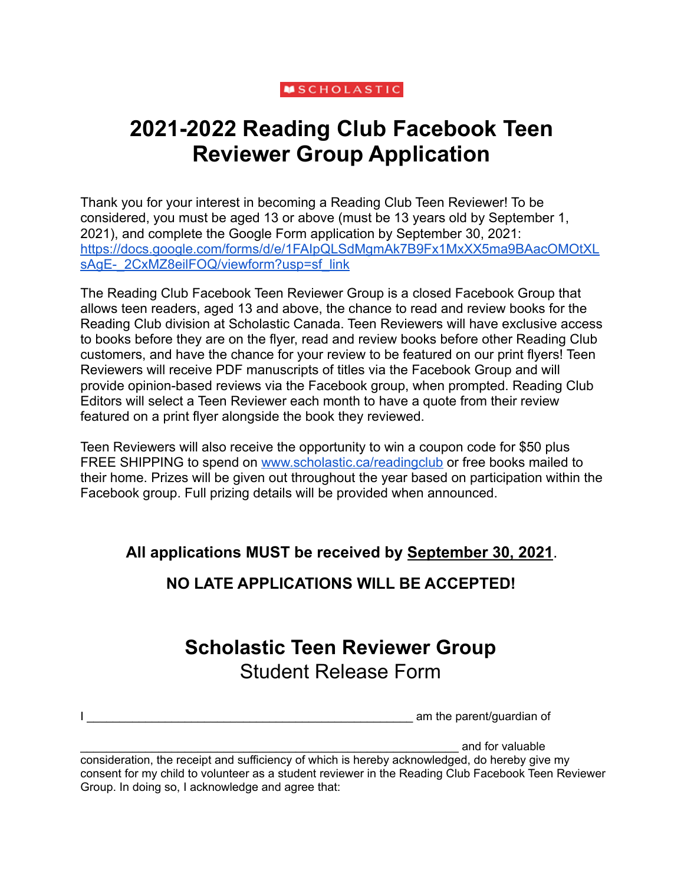### **MSCHOLASTIC**

# **2021-2022 Reading Club Facebook Teen Reviewer Group Application**

Thank you for your interest in becoming a Reading Club Teen Reviewer! To be considered, you must be aged 13 or above (must be 13 years old by September 1, 2021), and complete the Google Form application by September 30, 2021: [https://docs.google.com/forms/d/e/1FAIpQLSdMgmAk7B9Fx1MxXX5ma9BAacOMOtXL](https://docs.google.com/forms/d/e/1FAIpQLSdMgmAk7B9Fx1MxXX5ma9BAacOMOtXLsAgE-_2CxMZ8eilFOQ/viewform?usp=sf_link) [sAgE-\\_2CxMZ8eilFOQ/viewform?usp=sf\\_link](https://docs.google.com/forms/d/e/1FAIpQLSdMgmAk7B9Fx1MxXX5ma9BAacOMOtXLsAgE-_2CxMZ8eilFOQ/viewform?usp=sf_link)

The Reading Club Facebook Teen Reviewer Group is a closed Facebook Group that allows teen readers, aged 13 and above, the chance to read and review books for the Reading Club division at Scholastic Canada. Teen Reviewers will have exclusive access to books before they are on the flyer, read and review books before other Reading Club customers, and have the chance for your review to be featured on our print flyers! Teen Reviewers will receive PDF manuscripts of titles via the Facebook Group and will provide opinion-based reviews via the Facebook group, when prompted. Reading Club Editors will select a Teen Reviewer each month to have a quote from their review featured on a print flyer alongside the book they reviewed.

Teen Reviewers will also receive the opportunity to win a coupon code for \$50 plus FREE SHIPPING to spend on [www.scholastic.ca/readingclub](http://www.scholastic.ca/readingclub) or free books mailed to their home. Prizes will be given out throughout the year based on participation within the Facebook group. Full prizing details will be provided when announced.

**All applications MUST be received by September 30, 2021**.

### **NO LATE APPLICATIONS WILL BE ACCEPTED!**

## **Scholastic Teen Reviewer Group** Student Release Form

I \_\_\_\_\_\_\_\_\_\_\_\_\_\_\_\_\_\_\_\_\_\_\_\_\_\_\_\_\_\_\_\_\_\_\_\_\_\_\_\_\_\_\_\_\_\_\_\_\_\_ am the parent/guardian of

and for valuable

consideration, the receipt and sufficiency of which is hereby acknowledged, do hereby give my consent for my child to volunteer as a student reviewer in the Reading Club Facebook Teen Reviewer Group. In doing so, I acknowledge and agree that: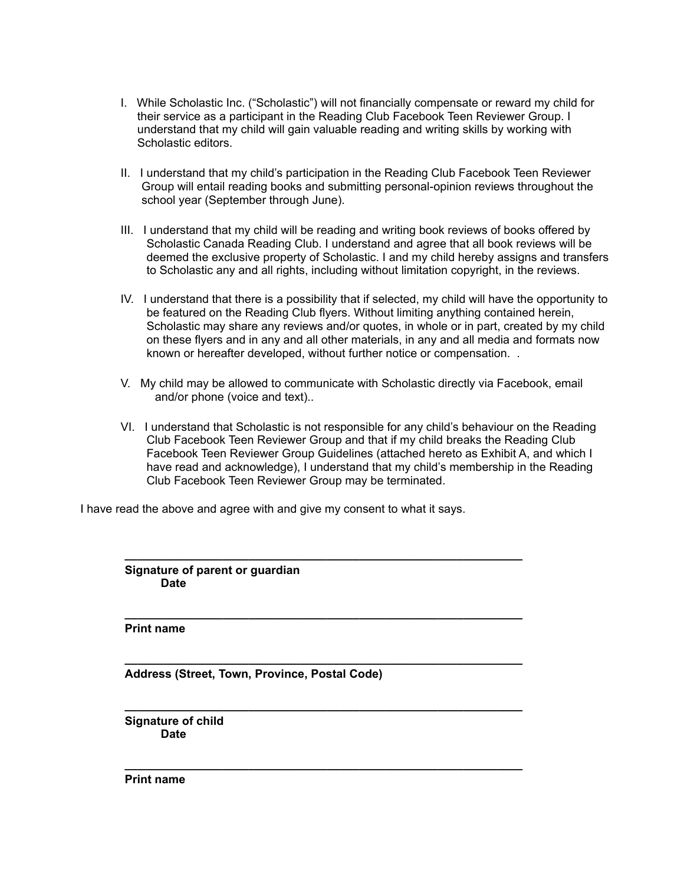- I. While Scholastic Inc. ("Scholastic") will not financially compensate or reward my child for their service as a participant in the Reading Club Facebook Teen Reviewer Group. I understand that my child will gain valuable reading and writing skills by working with Scholastic editors.
- II. I understand that my child's participation in the Reading Club Facebook Teen Reviewer Group will entail reading books and submitting personal-opinion reviews throughout the school year (September through June).
- III. I understand that my child will be reading and writing book reviews of books offered by Scholastic Canada Reading Club. I understand and agree that all book reviews will be deemed the exclusive property of Scholastic. I and my child hereby assigns and transfers to Scholastic any and all rights, including without limitation copyright, in the reviews.
- IV. I understand that there is a possibility that if selected, my child will have the opportunity to be featured on the Reading Club flyers. Without limiting anything contained herein, Scholastic may share any reviews and/or quotes, in whole or in part, created by my child on these flyers and in any and all other materials, in any and all media and formats now known or hereafter developed, without further notice or compensation. .
- V. My child may be allowed to communicate with Scholastic directly via Facebook, email and/or phone (voice and text)..
- VI. I understand that Scholastic is not responsible for any child's behaviour on the Reading Club Facebook Teen Reviewer Group and that if my child breaks the Reading Club Facebook Teen Reviewer Group Guidelines (attached hereto as Exhibit A, and which I have read and acknowledge), I understand that my child's membership in the Reading Club Facebook Teen Reviewer Group may be terminated.

**\_\_\_\_\_\_\_\_\_\_\_\_\_\_\_\_\_\_\_\_\_\_\_\_\_\_\_\_\_\_\_\_\_\_\_\_\_\_\_\_\_\_\_\_\_\_\_\_\_\_\_\_\_\_\_\_\_\_\_\_\_**

**\_\_\_\_\_\_\_\_\_\_\_\_\_\_\_\_\_\_\_\_\_\_\_\_\_\_\_\_\_\_\_\_\_\_\_\_\_\_\_\_\_\_\_\_\_\_\_\_\_\_\_\_\_\_\_\_\_\_\_\_\_**

**\_\_\_\_\_\_\_\_\_\_\_\_\_\_\_\_\_\_\_\_\_\_\_\_\_\_\_\_\_\_\_\_\_\_\_\_\_\_\_\_\_\_\_\_\_\_\_\_\_\_\_\_\_\_\_\_\_\_\_\_\_**

**\_\_\_\_\_\_\_\_\_\_\_\_\_\_\_\_\_\_\_\_\_\_\_\_\_\_\_\_\_\_\_\_\_\_\_\_\_\_\_\_\_\_\_\_\_\_\_\_\_\_\_\_\_\_\_\_\_\_\_\_\_**

**\_\_\_\_\_\_\_\_\_\_\_\_\_\_\_\_\_\_\_\_\_\_\_\_\_\_\_\_\_\_\_\_\_\_\_\_\_\_\_\_\_\_\_\_\_\_\_\_\_\_\_\_\_\_\_\_\_\_\_\_\_**

I have read the above and agree with and give my consent to what it says.

**Signature of parent or guardian Date**

**Print name**

**Address (Street, Town, Province, Postal Code)**

**Signature of child Date**

**Print name**